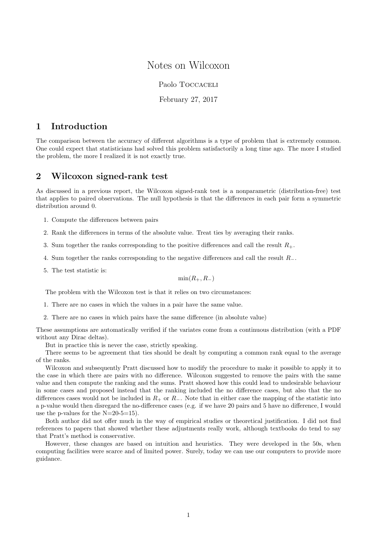# Notes on Wilcoxon

#### Paolo TOCCACELI

#### February 27, 2017

# 1 Introduction

The comparison between the accuracy of different algorithms is a type of problem that is extremely common. One could expect that statisticians had solved this problem satisfactorily a long time ago. The more I studied the problem, the more I realized it is not exactly true.

# 2 Wilcoxon signed-rank test

As discussed in a previous report, the Wilcoxon signed-rank test is a nonparametric (distribution-free) test that applies to paired observations. The null hypothesis is that the differences in each pair form a symmetric distribution around 0.

- 1. Compute the differences between pairs
- 2. Rank the differences in terms of the absolute value. Treat ties by averaging their ranks.
- 3. Sum together the ranks corresponding to the positive differences and call the result  $R_{+}$ .
- 4. Sum together the ranks corresponding to the negative differences and call the result R−.
- 5. The test statistic is:

 $min(R_+, R_-)$ 

The problem with the Wilcoxon test is that it relies on two circumstances:

- 1. There are no cases in which the values in a pair have the same value.
- 2. There are no cases in which pairs have the same difference (in absolute value)

These assumptions are automatically verified if the variates come from a continuous distribution (with a PDF without any Dirac deltas).

But in practice this is never the case, strictly speaking.

There seems to be agreement that ties should be dealt by computing a common rank equal to the average of the ranks.

Wilcoxon and subsequently Pratt discussed how to modify the procedure to make it possible to apply it to the case in which there are pairs with no difference. Wilcoxon suggested to remove the pairs with the same value and then compute the ranking and the sums. Pratt showed how this could lead to undesirable behaviour in some cases and proposed instead that the ranking included the no difference cases, but also that the no differences cases would not be included in  $R_+$  or  $R_-\$ . Note that in either case the mapping of the statistic into a p-value would then disregard the no-difference cases (e.g. if we have 20 pairs and 5 have no difference, I would use the p-values for the  $N=20-5=15$ .

Both author did not offer much in the way of empirical studies or theoretical justification. I did not find references to papers that showed whether these adjustments really work, although textbooks do tend to say that Pratt's method is conservative.

However, these changes are based on intuition and heuristics. They were developed in the 50s, when computing facilities were scarce and of limited power. Surely, today we can use our computers to provide more guidance.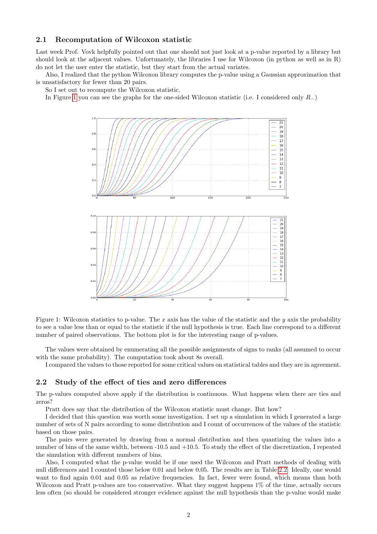### 2.1 Recomputation of Wilcoxon statistic

Last week Prof. Vovk helpfully pointed out that one should not just look at a p-value reported by a library but should look at the adjacent values. Unfortunately, the libraries I use for Wilcoxon (in python as well as in R) do not let the user enter the statistic, but they start from the actual variates.

Also, I realized that the python Wilcoxon library computes the p-value using a Gaussian approximation that is unsatisfactory for fewer than 20 pairs.

So I set out to recompute the Wilcoxon statistic.

In Figure [1](#page-1-0) you can see the graphs for the one-sided Wilcoxon statistic (i.e. I considered only  $R_-\$ )



<span id="page-1-0"></span>Figure 1: Wilcoxon statistics to p-value. The x axis has the value of the statistic and the y axis the probability to see a value less than or equal to the statistic if the null hypothesis is true. Each line correspond to a different number of paired observations. The bottom plot is for the interesting range of p-values.

The values were obtained by enumerating all the possible assignments of signs to ranks (all assumed to occur with the same probability). The computation took about 8s overall.

I compared the values to those reported for some critical values on statistical tables and they are in agreement.

#### 2.2 Study of the effect of ties and zero differences

The p-values computed above apply if the distribution is continuous. What happens when there are ties and zeros?

Pratt does say that the distribution of the Wilcoxon statistic must change. But how?

I decided that this question was worth some investigation. I set up a simulation in which I generated a large number of sets of N pairs according to some distribution and I count of occurrences of the values of the statistic based on those pairs.

The pairs were generated by drawing from a normal distribution and then quantizing the values into a number of bins of the same width, between -10.5 and +10.5. To study the effect of the discretization, I repeated the simulation with different numbers of bins.

Also, I computed what the p-value would be if one used the Wilcoxon and Pratt methods of dealing with null differences and I counted those below 0.01 and below 0.05. The results are in Table [2.2.](#page-3-0) Ideally, one would want to find again 0.01 and 0.05 as relative frequencies. In fact, fewer were found, which means than both Wilcoxon and Pratt p-values are too conservative. What they suggest happens  $1\%$  of the time, actually occurs less often (so should be considered stronger evidence against the null hypothesis than the p-value would make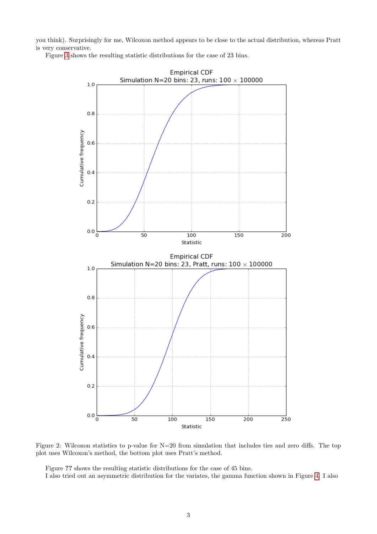you think). Surprisingly for me, Wilcoxon method appears to be close to the actual distribution, whereas Pratt is very conservative.

Figure [3](#page-3-0) shows the resulting statistic distributions for the case of 23 bins.



Figure 2: Wilcoxon statistics to p-value for N=20 from simulation that includes ties and zero diffs. The top plot uses Wilcoxon's method, the bottom plot uses Pratt's method.

Figure ?? shows the resulting statistic distributions for the case of 45 bins.

I also tried out an asymmetric distribution for the variates, the gamma function shown in Figure [4.](#page-4-0) I also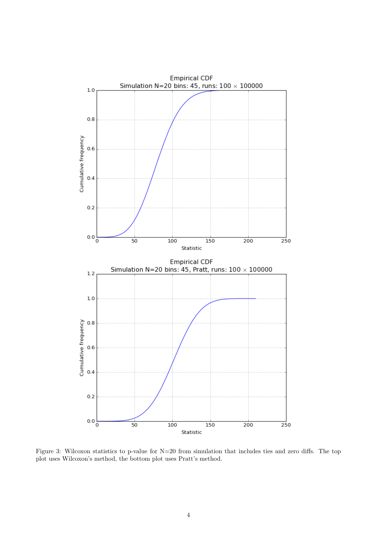

<span id="page-3-0"></span>Figure 3: Wilcoxon statistics to p-value for N=20 from simulation that includes ties and zero diffs. The top plot uses Wilcoxon's method, the bottom plot uses Pratt's method.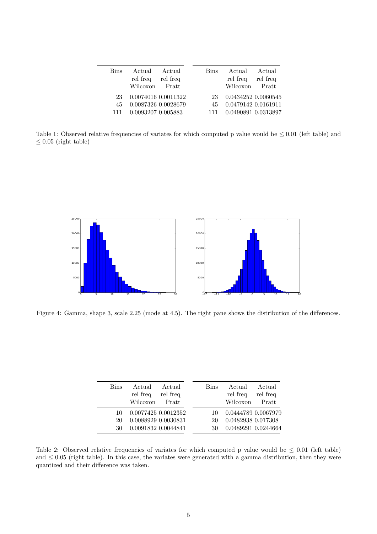| <b>Bins</b> | Actual              | Actual   | <b>Bins</b> | Actual              | Actual   |
|-------------|---------------------|----------|-------------|---------------------|----------|
|             | rel freq            | rel freq |             | rel freq            | rel freq |
|             | Wilcoxon            | Pratt    |             | Wilcoxon            | Pratt    |
| 23          | 0.0074016 0.0011322 |          | 23          | 0.0434252 0.0060545 |          |
| 45          | 0.0087326 0.0028679 |          | 45          | 0.0479142 0.0161911 |          |
| 111         | 0.0093207 0.005883  |          |             | 0.0490891 0.0313897 |          |

Table 1: Observed relative frequencies of variates for which computed p value would be  $\leq 0.01$  (left table) and  $\leq 0.05$  (right table)



<span id="page-4-0"></span>Figure 4: Gamma, shape 3, scale 2.25 (mode at 4.5). The right pane shows the distribution of the differences.

| <b>Bins</b> | Actual<br>rel freq  | Actual<br>rel freq | <b>Bins</b> | Actual<br>rel freq  | Actual<br>rel freq |
|-------------|---------------------|--------------------|-------------|---------------------|--------------------|
|             | Wilcoxon            | Pratt              |             | Wilcoxon            | Pratt              |
|             |                     |                    |             |                     |                    |
| 10          | 0.0077425 0.0012352 |                    | 10.         | 0.0444789 0.0067979 |                    |
| 20          | 0.0088929 0.0030831 |                    | 20          | 0.0482938 0.017308  |                    |
| 30          | 0.0091832 0.0044841 |                    | 30          | 0.0489291 0.0244664 |                    |
|             |                     |                    |             |                     |                    |

Table 2: Observed relative frequencies of variates for which computed p value would be  $\leq 0.01$  (left table) and  $\leq 0.05$  (right table). In this case, the variates were generated with a gamma distribution, then they were quantized and their difference was taken.